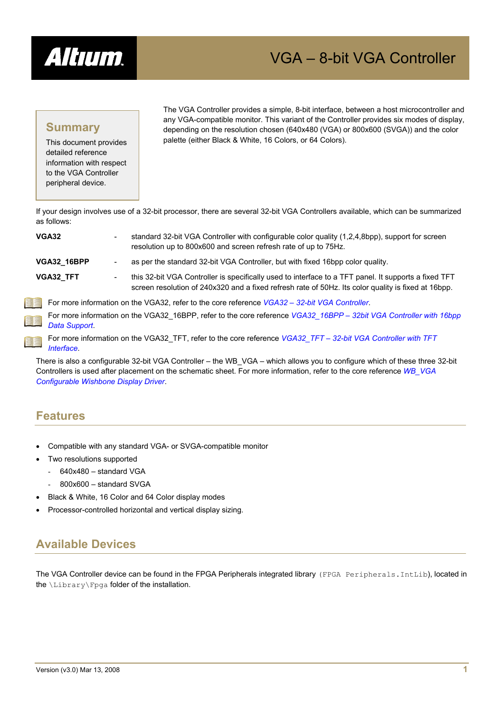

# VGA – 8-bit VGA Controller

## **Summary**

This document provides detailed reference information with respect to the VGA Controller peripheral device.

The VGA Controller provides a simple, 8-bit interface, between a host microcontroller and any VGA-compatible monitor. This variant of the Controller provides six modes of display, depending on the resolution chosen (640x480 (VGA) or 800x600 (SVGA)) and the color palette (either Black & White, 16 Colors, or 64 Colors).

If your design involves use of a 32-bit processor, there are several 32-bit VGA Controllers available, which can be summarized as follows:

| <b>VGA32</b>       | standard 32-bit VGA Controller with configurable color quality (1,2,4,8bpp), support for screen<br>$\qquad \qquad \blacksquare$<br>resolution up to 800x600 and screen refresh rate of up to 75Hz.               |
|--------------------|------------------------------------------------------------------------------------------------------------------------------------------------------------------------------------------------------------------|
| <b>VGA32 16BPP</b> | as per the standard 32-bit VGA Controller, but with fixed 16bpp color quality.<br>$\overline{\phantom{a}}$                                                                                                       |
| <b>VGA32 TFT</b>   | this 32-bit VGA Controller is specifically used to interface to a TFT panel. It supports a fixed TFT<br>-<br>screen resolution of 240x320 and a fixed refresh rate of 50Hz. Its color quality is fixed at 16bpp. |
| E,                 | For more information on the VGA32, refer to the core reference VGA32 - 32-bit VGA Controller.                                                                                                                    |
| E<br>Data Support. | For more information on the VGA32 16BPP, refer to the core reference VGA32 16BPP - 32bit VGA Controller with 16bpp                                                                                               |

For more information on the VGA32\_TFT, refer to the core reference *VGA32\_TFT – 32-bit VGA Controller with TFT Interface*.

There is also a configurable 32-bit VGA Controller – the WB\_VGA – which allows you to configure which of these three 32-bit Controllers is used after placement on the schematic sheet. For more information, refer to the core reference *WB\_VGA Configurable Wishbone Display Driver*.

## **Features**

匪

- Compatible with any standard VGA- or SVGA-compatible monitor
- Two resolutions supported
	- 640x480 standard VGA
	- 800x600 standard SVGA
- Black & White, 16 Color and 64 Color display modes
- Processor-controlled horizontal and vertical display sizing.

## **Available Devices**

The VGA Controller device can be found in the FPGA Peripherals integrated library (FPGA Peripherals.IntLib), located in the \Library\Fpga folder of the installation.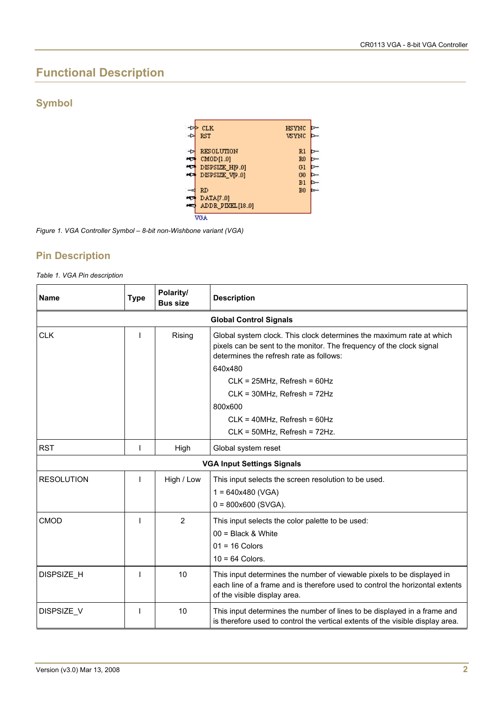## **Functional Description**

## **Symbol**



*Figure 1. VGA Controller Symbol – 8-bit non-Wishbone variant (VGA)* 

### **Pin Description**

*Table 1. VGA Pin description* 

| <b>Name</b>                   | <b>Type</b> | Polarity/<br><b>Bus size</b> | <b>Description</b>                                                                                                                                                                                 |  |
|-------------------------------|-------------|------------------------------|----------------------------------------------------------------------------------------------------------------------------------------------------------------------------------------------------|--|
| <b>Global Control Signals</b> |             |                              |                                                                                                                                                                                                    |  |
| <b>CLK</b>                    |             | Rising                       | Global system clock. This clock determines the maximum rate at which<br>pixels can be sent to the monitor. The frequency of the clock signal<br>determines the refresh rate as follows:<br>640x480 |  |
|                               |             |                              |                                                                                                                                                                                                    |  |
|                               |             |                              | $CLK = 25MHz$ , Refresh = 60Hz<br>CLK = 30MHz, Refresh = 72Hz                                                                                                                                      |  |
|                               |             |                              | 800×600                                                                                                                                                                                            |  |
|                               |             |                              | $CLK = 40MHz$ , Refresh = 60Hz                                                                                                                                                                     |  |
|                               |             |                              | CLK = 50MHz, Refresh = 72Hz.                                                                                                                                                                       |  |
| <b>RST</b>                    |             |                              |                                                                                                                                                                                                    |  |
|                               |             | High                         | Global system reset                                                                                                                                                                                |  |
|                               |             |                              | <b>VGA Input Settings Signals</b>                                                                                                                                                                  |  |
| <b>RESOLUTION</b>             |             | High / Low                   | This input selects the screen resolution to be used.                                                                                                                                               |  |
|                               |             |                              | $1 = 640x480$ (VGA)                                                                                                                                                                                |  |
|                               |             |                              | $0 = 800x600$ (SVGA).                                                                                                                                                                              |  |
| CMOD                          |             | $\overline{2}$               | This input selects the color palette to be used:                                                                                                                                                   |  |
|                               |             |                              | $00 = Black & White$                                                                                                                                                                               |  |
|                               |             |                              | $01 = 16$ Colors                                                                                                                                                                                   |  |
|                               |             |                              | $10 = 64$ Colors.                                                                                                                                                                                  |  |
| DISPSIZE H                    |             | 10                           | This input determines the number of viewable pixels to be displayed in<br>each line of a frame and is therefore used to control the horizontal extents<br>of the visible display area.             |  |
| DISPSIZE V                    |             | 10                           | This input determines the number of lines to be displayed in a frame and<br>is therefore used to control the vertical extents of the visible display area.                                         |  |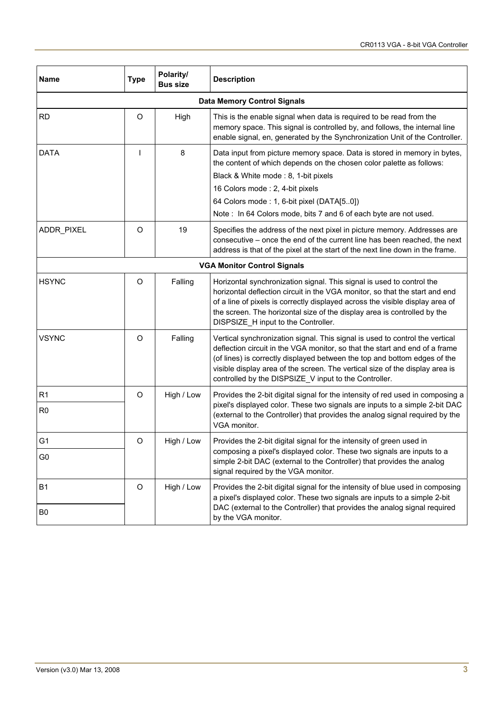| <b>Name</b>    | <b>Type</b>                                                                                                                                                                                                                                                                                                                                                              | Polarity/<br><b>Bus size</b> | <b>Description</b>                                                                                                                                                                                                                                                                                                                                                                |  |
|----------------|--------------------------------------------------------------------------------------------------------------------------------------------------------------------------------------------------------------------------------------------------------------------------------------------------------------------------------------------------------------------------|------------------------------|-----------------------------------------------------------------------------------------------------------------------------------------------------------------------------------------------------------------------------------------------------------------------------------------------------------------------------------------------------------------------------------|--|
|                |                                                                                                                                                                                                                                                                                                                                                                          |                              | <b>Data Memory Control Signals</b>                                                                                                                                                                                                                                                                                                                                                |  |
| <b>RD</b>      | O                                                                                                                                                                                                                                                                                                                                                                        | High                         | This is the enable signal when data is required to be read from the<br>memory space. This signal is controlled by, and follows, the internal line<br>enable signal, en, generated by the Synchronization Unit of the Controller.                                                                                                                                                  |  |
| <b>DATA</b>    | ı                                                                                                                                                                                                                                                                                                                                                                        | 8                            | Data input from picture memory space. Data is stored in memory in bytes,<br>the content of which depends on the chosen color palette as follows:<br>Black & White mode: 8, 1-bit pixels<br>16 Colors mode: 2, 4-bit pixels<br>64 Colors mode: 1, 6-bit pixel (DATA[50])<br>Note: In 64 Colors mode, bits 7 and 6 of each byte are not used.                                       |  |
| ADDR_PIXEL     | O                                                                                                                                                                                                                                                                                                                                                                        | 19                           | Specifies the address of the next pixel in picture memory. Addresses are<br>consecutive – once the end of the current line has been reached, the next<br>address is that of the pixel at the start of the next line down in the frame.                                                                                                                                            |  |
|                |                                                                                                                                                                                                                                                                                                                                                                          |                              | <b>VGA Monitor Control Signals</b>                                                                                                                                                                                                                                                                                                                                                |  |
| <b>HSYNC</b>   | O<br>Falling<br>Horizontal synchronization signal. This signal is used to control the<br>horizontal deflection circuit in the VGA monitor, so that the start and end<br>of a line of pixels is correctly displayed across the visible display area of<br>the screen. The horizontal size of the display area is controlled by the<br>DISPSIZE_H input to the Controller. |                              |                                                                                                                                                                                                                                                                                                                                                                                   |  |
| <b>VSYNC</b>   | O                                                                                                                                                                                                                                                                                                                                                                        | Falling                      | Vertical synchronization signal. This signal is used to control the vertical<br>deflection circuit in the VGA monitor, so that the start and end of a frame<br>(of lines) is correctly displayed between the top and bottom edges of the<br>visible display area of the screen. The vertical size of the display area is<br>controlled by the DISPSIZE_V input to the Controller. |  |
| R <sub>1</sub> | O                                                                                                                                                                                                                                                                                                                                                                        | High / Low                   | Provides the 2-bit digital signal for the intensity of red used in composing a                                                                                                                                                                                                                                                                                                    |  |
| R <sub>0</sub> |                                                                                                                                                                                                                                                                                                                                                                          |                              | pixel's displayed color. These two signals are inputs to a simple 2-bit DAC<br>(external to the Controller) that provides the analog signal required by the<br>VGA monitor.                                                                                                                                                                                                       |  |
| G <sub>1</sub> | O                                                                                                                                                                                                                                                                                                                                                                        | High / Low                   | Provides the 2-bit digital signal for the intensity of green used in                                                                                                                                                                                                                                                                                                              |  |
| G0             |                                                                                                                                                                                                                                                                                                                                                                          |                              | composing a pixel's displayed color. These two signals are inputs to a<br>simple 2-bit DAC (external to the Controller) that provides the analog<br>signal required by the VGA monitor.                                                                                                                                                                                           |  |
| <b>B1</b>      | O                                                                                                                                                                                                                                                                                                                                                                        | High / Low                   | Provides the 2-bit digital signal for the intensity of blue used in composing<br>a pixel's displayed color. These two signals are inputs to a simple 2-bit                                                                                                                                                                                                                        |  |
| B <sub>0</sub> |                                                                                                                                                                                                                                                                                                                                                                          |                              | DAC (external to the Controller) that provides the analog signal required<br>by the VGA monitor.                                                                                                                                                                                                                                                                                  |  |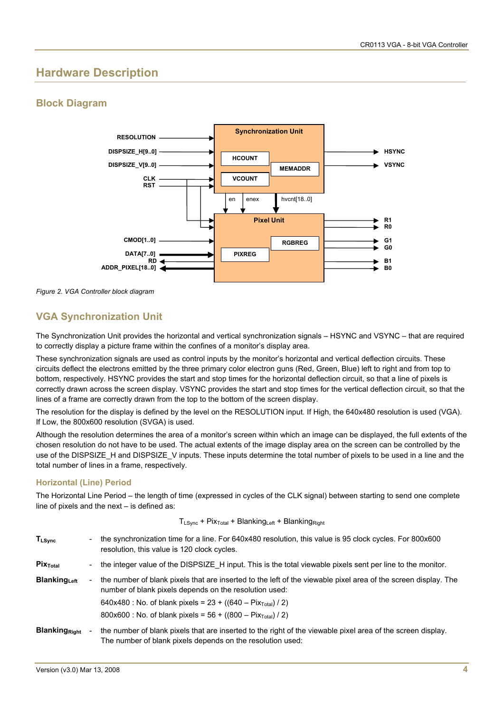## **Hardware Description**

## **Block Diagram**



*Figure 2. VGA Controller block diagram* 

## **VGA Synchronization Unit**

The Synchronization Unit provides the horizontal and vertical synchronization signals – HSYNC and VSYNC – that are required to correctly display a picture frame within the confines of a monitor's display area.

These synchronization signals are used as control inputs by the monitor's horizontal and vertical deflection circuits. These circuits deflect the electrons emitted by the three primary color electron guns (Red, Green, Blue) left to right and from top to bottom, respectively. HSYNC provides the start and stop times for the horizontal deflection circuit, so that a line of pixels is correctly drawn across the screen display. VSYNC provides the start and stop times for the vertical deflection circuit, so that the lines of a frame are correctly drawn from the top to the bottom of the screen display.

The resolution for the display is defined by the level on the RESOLUTION input. If High, the 640x480 resolution is used (VGA). If Low, the 800x600 resolution (SVGA) is used.

Although the resolution determines the area of a monitor's screen within which an image can be displayed, the full extents of the chosen resolution do not have to be used. The actual extents of the image display area on the screen can be controlled by the use of the DISPSIZE H and DISPSIZE V inputs. These inputs determine the total number of pixels to be used in a line and the total number of lines in a frame, respectively.

### **Horizontal (Line) Period**

The Horizontal Line Period – the length of time (expressed in cycles of the CLK signal) between starting to send one complete line of pixels and the next – is defined as:

 $T_{LSync}$  + Pix<sub>Total</sub> + Blanking<sub>Left</sub> + Blanking<sub>Right</sub>

| $T_{L{\rm Sync}}$     | - | the synchronization time for a line. For 640x480 resolution, this value is 95 clock cycles. For 800x600<br>resolution, this value is 120 clock cycles.                    |
|-----------------------|---|---------------------------------------------------------------------------------------------------------------------------------------------------------------------------|
| $Pix_{\text{Total}}$  | - | the integer value of the DISPSIZE H input. This is the total viewable pixels sent per line to the monitor.                                                                |
| <b>Blanking</b> Left  | - | the number of blank pixels that are inserted to the left of the viewable pixel area of the screen display. The<br>number of blank pixels depends on the resolution used:  |
|                       |   | 640x480 : No. of blank pixels = $23 + ((640 - \text{Fix}_{\text{Total}})/2)$                                                                                              |
|                       |   | 800x600 : No. of blank pixels = $56 + ((800 - \text{Fix}_{\text{Total}})/2)$                                                                                              |
| <b>Blanking Right</b> |   | the number of blank pixels that are inserted to the right of the viewable pixel area of the screen display.<br>The number of blank pixels depends on the resolution used: |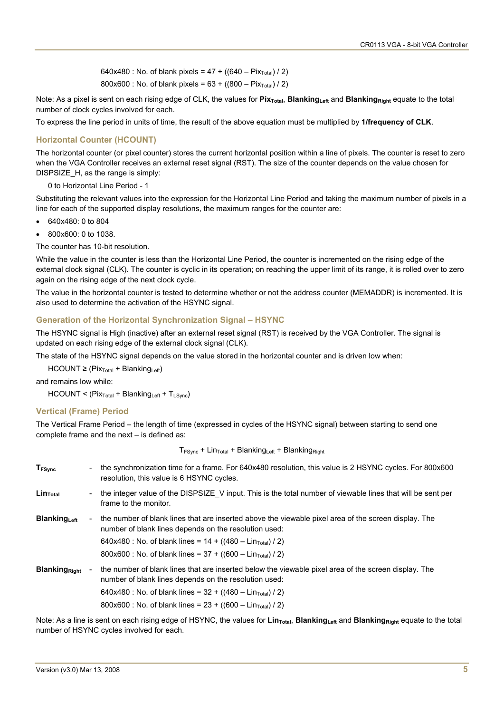640x480 : No. of blank pixels =  $47 + ((640 - \text{Fix}_{\text{Total}}) / 2)$ 800x600 : No. of blank pixels =  $63 + ((800 - \text{Fix}_{\text{Total}}) / 2)$ 

Note: As a pixel is sent on each rising edge of CLK, the values for **Pix<sub>Total</sub>**, **Blanking**<sub>Left</sub> and **Blanking**<sub>Right</sub> equate to the total number of clock cycles involved for each.

To express the line period in units of time, the result of the above equation must be multiplied by **1/frequency of CLK**.

#### **Horizontal Counter (HCOUNT)**

The horizontal counter (or pixel counter) stores the current horizontal position within a line of pixels. The counter is reset to zero when the VGA Controller receives an external reset signal (RST). The size of the counter depends on the value chosen for DISPSIZE H, as the range is simply:

0 to Horizontal Line Period - 1

Substituting the relevant values into the expression for the Horizontal Line Period and taking the maximum number of pixels in a line for each of the supported display resolutions, the maximum ranges for the counter are:

- 640x480: 0 to 804
- 800x600: 0 to 1038.

The counter has 10-bit resolution.

While the value in the counter is less than the Horizontal Line Period, the counter is incremented on the rising edge of the external clock signal (CLK). The counter is cyclic in its operation; on reaching the upper limit of its range, it is rolled over to zero again on the rising edge of the next clock cycle.

The value in the horizontal counter is tested to determine whether or not the address counter (MEMADDR) is incremented. It is also used to determine the activation of the HSYNC signal.

#### **Generation of the Horizontal Synchronization Signal – HSYNC**

The HSYNC signal is High (inactive) after an external reset signal (RST) is received by the VGA Controller. The signal is updated on each rising edge of the external clock signal (CLK).

The state of the HSYNC signal depends on the value stored in the horizontal counter and is driven low when:

 $HCOUNT \geq (Pix_{Total} + Blanking<sub>Left</sub>)$ 

and remains low while:

 $HCOUNT < (Pix_{Total} + Blanking_{Left} + T_{LSVnc})$ 

#### **Vertical (Frame) Period**

The Vertical Frame Period – the length of time (expressed in cycles of the HSYNC signal) between starting to send one complete frame and the next – is defined as:

 $T_{FSVnc}$  + Lin<sub>Total</sub> + Blanking<sub>Left</sub> + Blanking<sub>Right</sub>

| <b>T</b> <sub>FSync</sub> |                          | the synchronization time for a frame. For 640x480 resolution, this value is 2 HSYNC cycles. For 800x600<br>resolution, this value is 6 HSYNC cycles.          |
|---------------------------|--------------------------|---------------------------------------------------------------------------------------------------------------------------------------------------------------|
| Lin <sub>Total</sub>      | $\blacksquare$           | the integer value of the DISPSIZE V input. This is the total number of viewable lines that will be sent per<br>frame to the monitor.                          |
| <b>Blanking</b> Left      | $\overline{\phantom{a}}$ | the number of blank lines that are inserted above the viewable pixel area of the screen display. The<br>number of blank lines depends on the resolution used: |
|                           |                          | 640x480 : No. of blank lines = $14 + ((480 - Lin_{Total}) / 2)$                                                                                               |
|                           |                          | 800x600 : No. of blank lines = $37 + ((600 - Lin_{Total}) / 2)$                                                                                               |
| <b>Blanking Right</b>     |                          | the number of blank lines that are inserted below the viewable pixel area of the screen display. The<br>number of blank lines depends on the resolution used: |
|                           |                          | 640x480 : No. of blank lines = $32 + ((480 - Lin_{Total}) / 2)$                                                                                               |
|                           |                          | 800x600 : No. of blank lines = $23 + ((600 - Lin_{Total}) / 2)$                                                                                               |

Note: As a line is sent on each rising edge of HSYNC, the values for **Lin<sub>Total</sub>, Blanking**<sub>Left</sub> and **Blanking**<sub>Right</sub> equate to the total number of HSYNC cycles involved for each.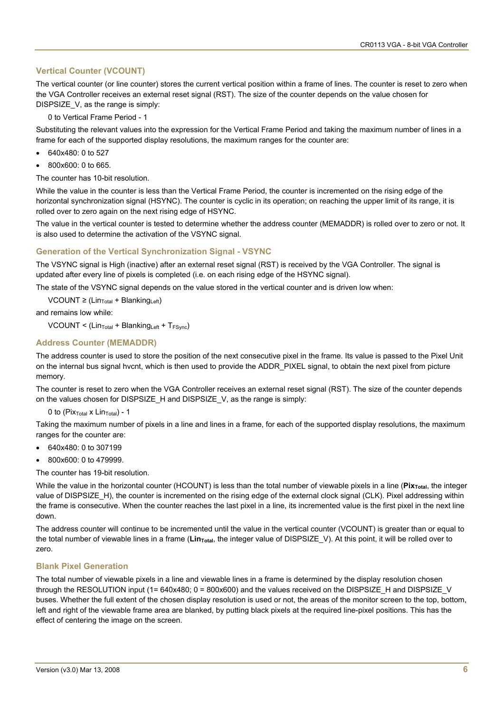#### **Vertical Counter (VCOUNT)**

The vertical counter (or line counter) stores the current vertical position within a frame of lines. The counter is reset to zero when the VGA Controller receives an external reset signal (RST). The size of the counter depends on the value chosen for DISPSIZE V, as the range is simply:

0 to Vertical Frame Period - 1

Substituting the relevant values into the expression for the Vertical Frame Period and taking the maximum number of lines in a frame for each of the supported display resolutions, the maximum ranges for the counter are:

- 640x480: 0 to 527
- 800x600: 0 to 665.

The counter has 10-bit resolution.

While the value in the counter is less than the Vertical Frame Period, the counter is incremented on the rising edge of the horizontal synchronization signal (HSYNC). The counter is cyclic in its operation; on reaching the upper limit of its range, it is rolled over to zero again on the next rising edge of HSYNC.

The value in the vertical counter is tested to determine whether the address counter (MEMADDR) is rolled over to zero or not. It is also used to determine the activation of the VSYNC signal.

#### **Generation of the Vertical Synchronization Signal - VSYNC**

The VSYNC signal is High (inactive) after an external reset signal (RST) is received by the VGA Controller. The signal is updated after every line of pixels is completed (i.e. on each rising edge of the HSYNC signal).

The state of the VSYNC signal depends on the value stored in the vertical counter and is driven low when:

VCOUNT ≥ (Lin<sub>Total</sub> + Blanking<sub>Left</sub>)

and remains low while:

 $VCOUNT < (Lin<sub>Total</sub> + Blanking<sub>Left</sub> + T<sub>FSVnc</sub>)$ 

#### **Address Counter (MEMADDR)**

The address counter is used to store the position of the next consecutive pixel in the frame. Its value is passed to the Pixel Unit on the internal bus signal hvcnt, which is then used to provide the ADDR\_PIXEL signal, to obtain the next pixel from picture memory.

The counter is reset to zero when the VGA Controller receives an external reset signal (RST). The size of the counter depends on the values chosen for DISPSIZE H and DISPSIZE V, as the range is simply:

0 to (Pix $_{\text{Total}}$  x Lin $_{\text{Total}}$ ) - 1

Taking the maximum number of pixels in a line and lines in a frame, for each of the supported display resolutions, the maximum ranges for the counter are:

- 640x480: 0 to 307199
- 800x600: 0 to 479999.
- The counter has 19-bit resolution.

While the value in the horizontal counter (HCOUNT) is less than the total number of viewable pixels in a line (Pix<sub>Total</sub>, the integer value of DISPSIZE H), the counter is incremented on the rising edge of the external clock signal (CLK). Pixel addressing within the frame is consecutive. When the counter reaches the last pixel in a line, its incremented value is the first pixel in the next line down.

The address counter will continue to be incremented until the value in the vertical counter (VCOUNT) is greater than or equal to the total number of viewable lines in a frame (Lin<sub>Total</sub>, the integer value of DISPSIZE\_V). At this point, it will be rolled over to zero.

#### **Blank Pixel Generation**

The total number of viewable pixels in a line and viewable lines in a frame is determined by the display resolution chosen through the RESOLUTION input (1=  $640x480$ ; 0 =  $800x600$ ) and the values received on the DISPSIZE H and DISPSIZE V buses. Whether the full extent of the chosen display resolution is used or not, the areas of the monitor screen to the top, bottom, left and right of the viewable frame area are blanked, by putting black pixels at the required line-pixel positions. This has the effect of centering the image on the screen.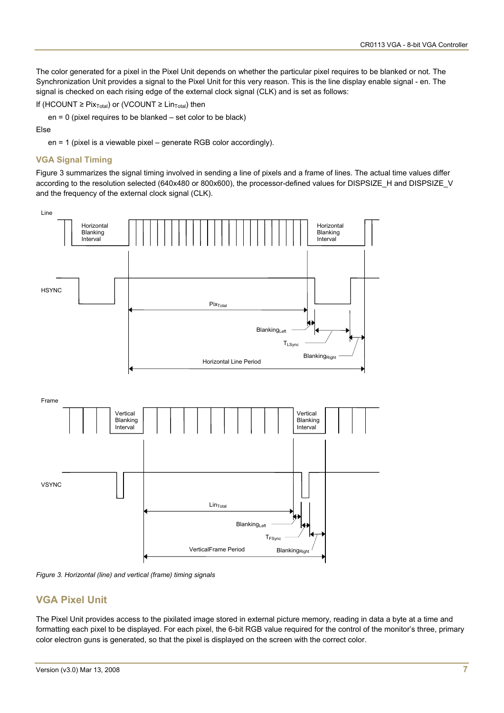The color generated for a pixel in the Pixel Unit depends on whether the particular pixel requires to be blanked or not. The Synchronization Unit provides a signal to the Pixel Unit for this very reason. This is the line display enable signal - en. The signal is checked on each rising edge of the external clock signal (CLK) and is set as follows:

If (HCOUNT  $\geq$  Pix<sub>Total</sub>) or (VCOUNT  $\geq$  Lin<sub>Total</sub>) then

en = 0 (pixel requires to be blanked – set color to be black)

#### Else

en = 1 (pixel is a viewable pixel – generate RGB color accordingly).

#### **VGA Signal Timing**

[Figure 3](#page-6-0) summarizes the signal timing involved in sending a line of pixels and a frame of lines. The actual time values differ according to the resolution selected (640x480 or 800x600), the processor-defined values for DISPSIZE\_H and DISPSIZE\_V and the frequency of the external clock signal (CLK).



<span id="page-6-0"></span>

### **VGA Pixel Unit**

The Pixel Unit provides access to the pixilated image stored in external picture memory, reading in data a byte at a time and formatting each pixel to be displayed. For each pixel, the 6-bit RGB value required for the control of the monitor's three, primary color electron guns is generated, so that the pixel is displayed on the screen with the correct color.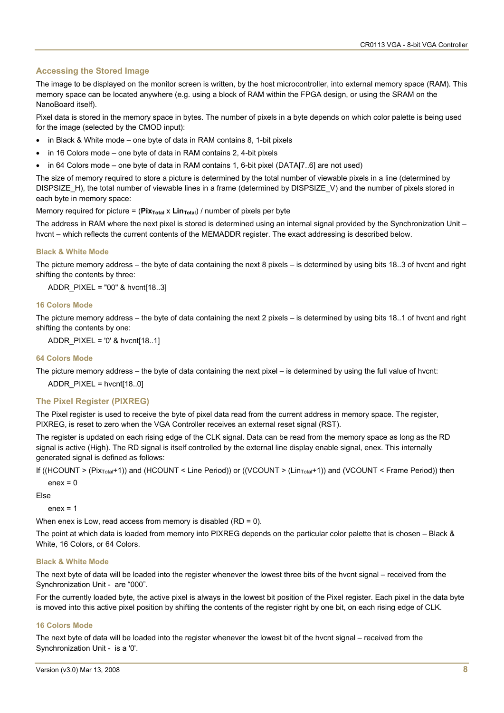#### **Accessing the Stored Image**

The image to be displayed on the monitor screen is written, by the host microcontroller, into external memory space (RAM). This memory space can be located anywhere (e.g. using a block of RAM within the FPGA design, or using the SRAM on the NanoBoard itself).

Pixel data is stored in the memory space in bytes. The number of pixels in a byte depends on which color palette is being used for the image (selected by the CMOD input):

- in Black & White mode one byte of data in RAM contains 8, 1-bit pixels
- in 16 Colors mode one byte of data in RAM contains 2, 4-bit pixels
- in 64 Colors mode one byte of data in RAM contains 1, 6-bit pixel (DATA[7..6] are not used)

The size of memory required to store a picture is determined by the total number of viewable pixels in a line (determined by DISPSIZE H), the total number of viewable lines in a frame (determined by DISPSIZE V) and the number of pixels stored in each byte in memory space:

Memory required for picture =  $(\text{Pix}_{\text{Total}} \times \text{Lin}_{\text{Total}}) /$  number of pixels per byte

The address in RAM where the next pixel is stored is determined using an internal signal provided by the Synchronization Unit – hvcnt – which reflects the current contents of the MEMADDR register. The exact addressing is described below.

#### **Black & White Mode**

The picture memory address – the byte of data containing the next 8 pixels – is determined by using bits 18..3 of hvcnt and right shifting the contents by three:

ADDR\_PIXEL = "00" & hvcnt[18..3]

#### **16 Colors Mode**

The picture memory address – the byte of data containing the next 2 pixels – is determined by using bits 18..1 of hvcnt and right shifting the contents by one:

ADDR\_PIXEL = '0' & hvcnt[18..1]

#### **64 Colors Mode**

The picture memory address – the byte of data containing the next pixel – is determined by using the full value of hvcnt:

ADDR\_PIXEL = hvcnt[18..0]

#### **The Pixel Register (PIXREG)**

The Pixel register is used to receive the byte of pixel data read from the current address in memory space. The register, PIXREG, is reset to zero when the VGA Controller receives an external reset signal (RST).

The register is updated on each rising edge of the CLK signal. Data can be read from the memory space as long as the RD signal is active (High). The RD signal is itself controlled by the external line display enable signal, enex. This internally generated signal is defined as follows:

If ((HCOUNT > (Pix<sub>Total</sub>+1)) and (HCOUNT < Line Period)) or ((VCOUNT > (Lin<sub>Total</sub>+1)) and (VCOUNT < Frame Period)) then

 $enex = 0$ 

Else

 $enex = 1$ 

When enex is Low, read access from memory is disabled (RD = 0).

The point at which data is loaded from memory into PIXREG depends on the particular color palette that is chosen – Black & White, 16 Colors, or 64 Colors.

#### **Black & White Mode**

The next byte of data will be loaded into the register whenever the lowest three bits of the hvcnt signal – received from the Synchronization Unit - are "000".

For the currently loaded byte, the active pixel is always in the lowest bit position of the Pixel register. Each pixel in the data byte is moved into this active pixel position by shifting the contents of the register right by one bit, on each rising edge of CLK.

#### **16 Colors Mode**

The next byte of data will be loaded into the register whenever the lowest bit of the hvcnt signal – received from the Synchronization Unit - is a '0'.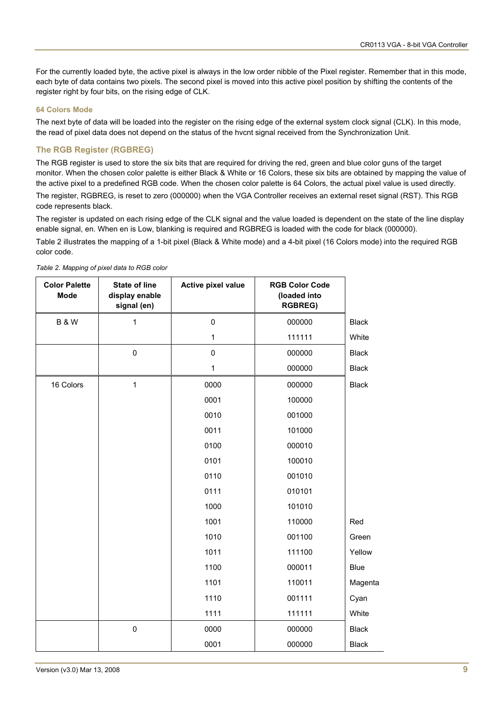For the currently loaded byte, the active pixel is always in the low order nibble of the Pixel register. Remember that in this mode, each byte of data contains two pixels. The second pixel is moved into this active pixel position by shifting the contents of the register right by four bits, on the rising edge of CLK.

#### **64 Colors Mode**

The next byte of data will be loaded into the register on the rising edge of the external system clock signal (CLK). In this mode, the read of pixel data does not depend on the status of the hvcnt signal received from the Synchronization Unit.

#### **The RGB Register (RGBREG)**

The RGB register is used to store the six bits that are required for driving the red, green and blue color guns of the target monitor. When the chosen color palette is either Black & White or 16 Colors, these six bits are obtained by mapping the value of the active pixel to a predefined RGB code. When the chosen color palette is 64 Colors, the actual pixel value is used directly.

The register, RGBREG, is reset to zero (000000) when the VGA Controller receives an external reset signal (RST). This RGB code represents black.

The register is updated on each rising edge of the CLK signal and the value loaded is dependent on the state of the line display enable signal, en. When en is Low, blanking is required and RGBREG is loaded with the code for black (000000).

Table 2 illustrates the mapping of a 1-bit pixel (Black & White mode) and a 4-bit pixel (16 Colors mode) into the required RGB color code.

| <b>Color Palette</b><br><b>Mode</b> | <b>State of line</b><br>display enable<br>signal (en) | <b>Active pixel value</b> | <b>RGB Color Code</b><br>(loaded into<br><b>RGBREG)</b> |              |
|-------------------------------------|-------------------------------------------------------|---------------------------|---------------------------------------------------------|--------------|
| <b>B&amp;W</b>                      | 1                                                     | $\pmb{0}$                 | 000000                                                  | <b>Black</b> |
|                                     |                                                       | $\mathbf{1}$              | 111111                                                  | White        |
|                                     | 0                                                     | $\mathbf 0$               | 000000                                                  | <b>Black</b> |
|                                     |                                                       | $\mathbf{1}$              | 000000                                                  | <b>Black</b> |
| 16 Colors                           | 1                                                     | 0000                      | 000000                                                  | <b>Black</b> |
|                                     |                                                       | 0001                      | 100000                                                  |              |
|                                     |                                                       | 0010                      | 001000                                                  |              |
|                                     |                                                       | 0011                      | 101000                                                  |              |
|                                     |                                                       | 0100                      | 000010                                                  |              |
|                                     |                                                       | 0101                      | 100010                                                  |              |
|                                     |                                                       | 0110                      | 001010                                                  |              |
|                                     |                                                       | 0111                      | 010101                                                  |              |
|                                     |                                                       | 1000                      | 101010                                                  |              |
|                                     |                                                       | 1001                      | 110000                                                  | Red          |
|                                     |                                                       | 1010                      | 001100                                                  | Green        |
|                                     |                                                       | 1011                      | 111100                                                  | Yellow       |
|                                     |                                                       | 1100                      | 000011                                                  | <b>Blue</b>  |
|                                     |                                                       | 1101                      | 110011                                                  | Magenta      |
|                                     |                                                       | 1110                      | 001111                                                  | Cyan         |
|                                     |                                                       | 1111                      | 111111                                                  | White        |
|                                     | $\pmb{0}$                                             | 0000                      | 000000                                                  | <b>Black</b> |
|                                     |                                                       | 0001                      | 000000                                                  | <b>Black</b> |

*Table 2. Mapping of pixel data to RGB color*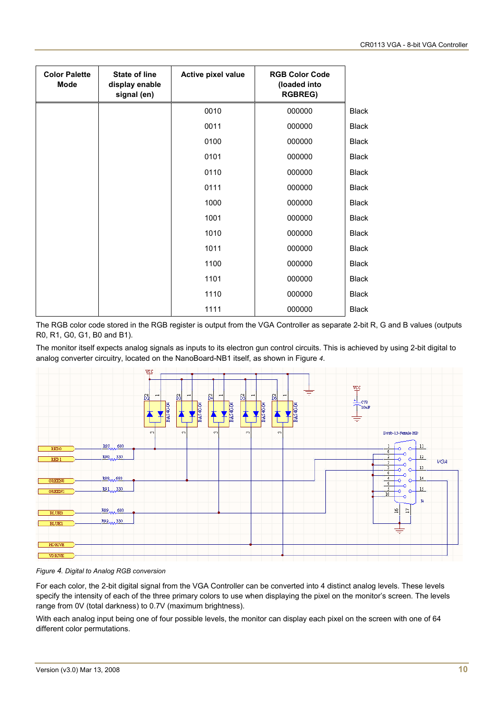| <b>Color Palette</b><br>Mode | <b>State of line</b><br>display enable<br>signal (en) | Active pixel value | <b>RGB Color Code</b><br>(loaded into<br><b>RGBREG)</b> |              |
|------------------------------|-------------------------------------------------------|--------------------|---------------------------------------------------------|--------------|
|                              |                                                       | 0010               | 000000                                                  | <b>Black</b> |
|                              |                                                       | 0011               | 000000                                                  | <b>Black</b> |
|                              |                                                       | 0100               | 000000                                                  | <b>Black</b> |
|                              |                                                       | 0101               | 000000                                                  | <b>Black</b> |
|                              |                                                       | 0110               | 000000                                                  | <b>Black</b> |
|                              |                                                       | 0111               | 000000                                                  | <b>Black</b> |
|                              |                                                       | 1000               | 000000                                                  | <b>Black</b> |
|                              |                                                       | 1001               | 000000                                                  | <b>Black</b> |
|                              |                                                       | 1010               | 000000                                                  | <b>Black</b> |
|                              |                                                       | 1011               | 000000                                                  | <b>Black</b> |
|                              |                                                       | 1100               | 000000                                                  | <b>Black</b> |
|                              |                                                       | 1101               | 000000                                                  | <b>Black</b> |
|                              |                                                       | 1110               | 000000                                                  | <b>Black</b> |
|                              |                                                       | 1111               | 000000                                                  | <b>Black</b> |

The RGB color code stored in the RGB register is output from the VGA Controller as separate 2-bit R, G and B values (outputs R0, R1, G0, G1, B0 and B1).

The monitor itself expects analog signals as inputs to its electron gun control circuits. This is achieved by using 2-bit digital to analog converter circuitry, located on the NanoBoard-NB1 itself, as shown in [Figure](#page-9-0) *4*.



<span id="page-9-0"></span>*Figure 4. Digital to Analog RGB conversion* 

For each color, the 2-bit digital signal from the VGA Controller can be converted into 4 distinct analog levels. These levels specify the intensity of each of the three primary colors to use when displaying the pixel on the monitor's screen. The levels range from 0V (total darkness) to 0.7V (maximum brightness).

With each analog input being one of four possible levels, the monitor can display each pixel on the screen with one of 64 different color permutations.